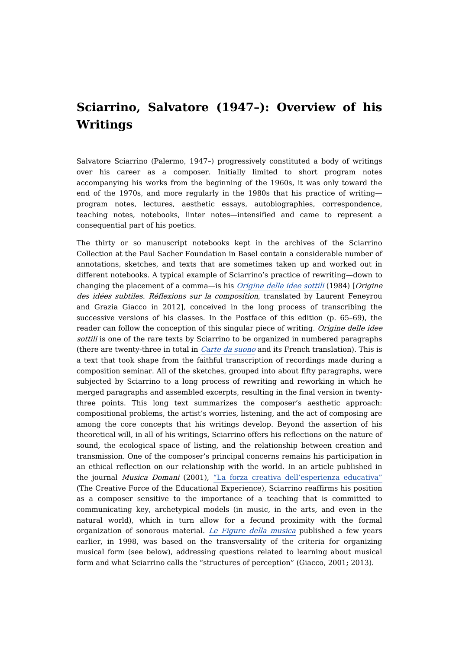## **Sciarrino, Salvatore (1947–): Overview of his Writings**

Salvatore Sciarrino (Palermo, 1947–) progressively constituted a body of writings over his career as a composer. Initially limited to short program notes accompanying his works from the beginning of the 1960s, it was only toward the end of the 1970s, and more regularly in the 1980s that his practice of writing program notes, lectures, aesthetic essays, autobiographies, correspondence, teaching notes, notebooks, linter notes—intensified and came to represent a consequential part of his poetics.

The thirty or so manuscript notebooks kept in the archives of the Sciarrino Collection at the Paul Sacher Foundation in Basel contain a considerable number of annotations, sketches, and texts that are sometimes taken up and worked out in different notebooks. A typical example of Sciarrino's practice of rewriting—down to changing the placement of a comma—is his *[Origine](https://dicteco.huma-num.fr/fr/view?rql=Origine+delle+idee+sottili+&__fromsearchbox=1&subvid=tsearch) delle idee sottili* (1984) [*Origine* des idées subtiles. Réflexions sur la composition, translated by Laurent Feneyrou and Grazia Giacco in 2012], conceived in the long process of transcribing the successive versions of his classes. In the Postface of this edition (p. 65–69), the reader can follow the conception of this singular piece of writing. Origine delle idee sottili is one of the rare texts by Sciarrino to be organized in numbered paragraphs (there are twenty-three in total in *[Carte](https://dicteco.huma-num.fr/fr/book/35660) da suono* and its French translation). This is a text that took shape from the faithful transcription of recordings made during a composition seminar. All of the sketches, grouped into about fifty paragraphs, were subjected by Sciarrino to a long process of rewriting and reworking in which he merged paragraphs and assembled excerpts, resulting in the final version in twentythree points. This long text summarizes the composer's aesthetic approach: compositional problems, the artist's worries, listening, and the act of composing are among the core concepts that his writings develop. Beyond the assertion of his theoretical will, in all of his writings, Sciarrino offers his reflections on the nature of sound, the ecological space of listing, and the relationship between creation and transmission. One of the composer's principal concerns remains his participation in an ethical reflection on our relationship with the world. In an article published in the journal Musica Domani (2001), "La forza creativa [dell'esperienza](https://dicteco.huma-num.fr/fr/article/35666?_cwmsgid=8ddf1704384748059ee7c3f385ecb5c5) educativa" (The Creative Force of the Educational Experience), Sciarrino reaffirms his position as a composer sensitive to the importance of a teaching that is committed to communicating key, archetypical models (in music, in the arts, and even in the natural world), which in turn allow for a fecund proximity with the formal organization of sonorous material. Le [Figure](https://dicteco.huma-num.fr/fr/book/35332) della musica published a few years earlier, in 1998, was based on the transversality of the criteria for organizing musical form (see below), addressing questions related to learning about musical form and what Sciarrino calls the "structures of perception" (Giacco, 2001; 2013).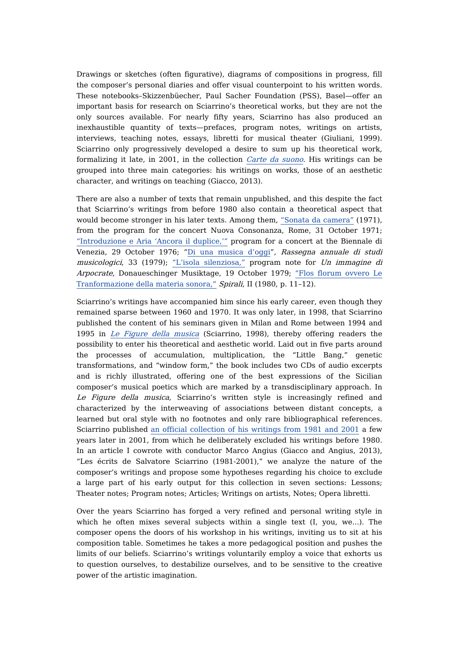Drawings or sketches (often figurative), diagrams of compositions in progress, fill the composer's personal diaries and offer visual counterpoint to his written words. These notebooks–Skizzenbüecher, Paul Sacher Foundation (PSS), Basel—offer an important basis for research on Sciarrino's theoretical works, but they are not the only sources available. For nearly fifty years, Sciarrino has also produced an inexhaustible quantity of texts—prefaces, program notes, writings on artists, interviews, teaching notes, essays, libretti for musical theater (Giuliani, 1999). Sciarrino only progressively developed a desire to sum up his theoretical work, formalizing it late, in 2001, in the collection [Carte](https://dicteco.huma-num.fr/fr/book/35660) da suono. His writings can be grouped into three main categories: his writings on works, those of an aesthetic character, and writings on teaching (Giacco, 2013).

There are also a number of texts that remain unpublished, and this despite the fact that Sciarrino's writings from before 1980 also contain a theoretical aspect that would become stronger in his later texts. Among them, "Sonata da [camera"](https://dicteco.huma-num.fr/fr/paratext/35373) (1971), from the program for the concert Nuova Consonanza, Rome, 31 October 1971; ["Introduzione](https://dicteco.huma-num.fr/fr/paratext/35377) e Aria 'Ancora il duplice,'" program for a concert at the Biennale di Venezia, 29 October 1976; "Di una [musica](https://dicteco.huma-num.fr/fr/article/35347) d'oggi", Rassegna annuale di studi musicologici, 33 (1979); "L'isola [silenziosa,"](https://dicteco.huma-num.fr/fr/paratext/35382) program note for Un immagine di Arpocrate, [Donaueschinger](https://dicteco.huma-num.fr/fr/article/35370) Musiktage, 19 October 1979; "Flos florum ovvero Le Tranformazione della materia sonora," Spirali, II (1980, p. 11–12).

Sciarrino's writings have accompanied him since his early career, even though they remained sparse between 1960 and 1970. It was only later, in 1998, that Sciarrino published the content of his seminars given in Milan and Rome between 1994 and 1995 in Le [Figure](https://dicteco.huma-num.fr/fr/book/35332) della musica (Sciarrino, 1998), thereby offering readers the possibility to enter his theoretical and aesthetic world. Laid out in five parts around the processes of accumulation, multiplication, the "Little Bang," genetic transformations, and "window form," the book includes two CDs of audio excerpts and is richly illustrated, offering one of the best expressions of the Sicilian composer's musical poetics which are marked by a transdisciplinary approach. In Le Figure della musica, Sciarrino's written style is increasingly refined and characterized by the interweaving of associations between distant concepts, a learned but oral style with no footnotes and only rare bibliographical references. Sciarrino published an official [collection](https://dicteco.huma-num.fr/fr/book/35660) of his writings from 1981 and 2001 a few years later in 2001, from which he deliberately excluded his writings before 1980. In an article I cowrote with conductor Marco Angius (Giacco and Angius, 2013), "Les écrits de Salvatore Sciarrino (1981-2001)," we analyze the nature of the composer's writings and propose some hypotheses regarding his choice to exclude a large part of his early output for this collection in seven sections: Lessons; Theater notes; Program notes; Articles; Writings on artists, Notes; Opera libretti.

Over the years Sciarrino has forged a very refined and personal writing style in which he often mixes several subjects within a single text (I, you, we...). The composer opens the doors of his workshop in his writings, inviting us to sit at his composition table. Sometimes he takes a more pedagogical position and pushes the limits of our beliefs. Sciarrino's writings voluntarily employ a voice that exhorts us to question ourselves, to destabilize ourselves, and to be sensitive to the creative power of the artistic imagination.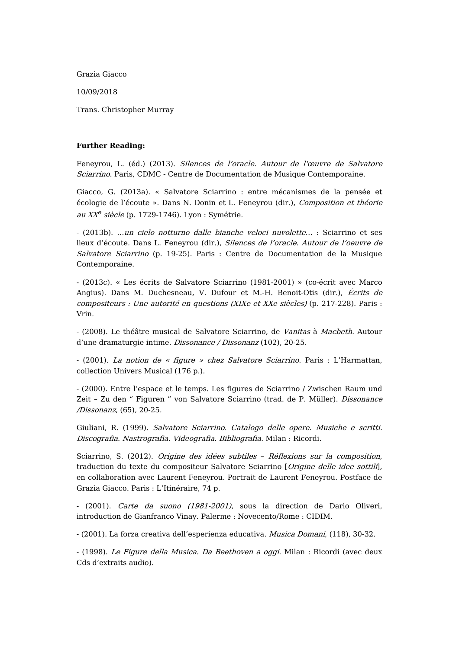Grazia Giacco

10/09/2018

Trans. Christopher Murray

## **Further Reading:**

Feneyrou, L. (éd.) (2013). Silences de l'oracle. Autour de l'œuvre de Salvatore Sciarrino. Paris, CDMC - Centre de Documentation de Musique Contemporaine.

Giacco, G. (2013a). « Salvatore Sciarrino : entre mécanismes de la pensée et écologie de l'écoute ». Dans N. Donin et L. Feneyrou (dir.), Composition et théorie au XX<sup>e</sup> siècle (p. 1729-1746). Lyon : Symétrie.

- (2013b). …un cielo notturno dalle bianche veloci nuvolette… : Sciarrino et ses lieux d'écoute. Dans L. Feneyrou (dir.), Silences de l'oracle. Autour de l'oeuvre de Salvatore Sciarrino (p. 19-25). Paris : Centre de Documentation de la Musique Contemporaine.

- (2013c). « Les écrits de Salvatore Sciarrino (1981-2001) » (co-écrit avec Marco Angius). Dans M. Duchesneau, V. Dufour et M.-H. Benoit-Otis (dir.), Écrits de compositeurs : Une autorité en questions (XIXe et XXe siècles) (p. 217-228). Paris : Vrin.

- (2008). Le théâtre musical de Salvatore Sciarrino, de Vanitas à Macbeth. Autour d'une dramaturgie intime. Dissonance / Dissonanz (102), 20-25.

- (2001). La notion de « figure » chez Salvatore Sciarrino. Paris : L'Harmattan, collection Univers Musical (176 p.).

- (2000). Entre l'espace et le temps. Les figures de Sciarrino / Zwischen Raum und Zeit - Zu den " Figuren " von Salvatore Sciarrino (trad. de P. Müller). Dissonance /Dissonanz, (65), 20-25.

Giuliani, R. (1999). Salvatore Sciarrino. Catalogo delle opere. Musiche <sup>e</sup> scritti. Discografia. Nastrografia. Videografia. Bibliografia. Milan : Ricordi.

Sciarrino, S. (2012). Origine des idées subtiles – Réflexions sur la composition, traduction du texte du compositeur Salvatore Sciarrino [Origine delle idee sottili], en collaboration avec Laurent Feneyrou. Portrait de Laurent Feneyrou. Postface de Grazia Giacco. Paris : L'Itinéraire, 74 p.

- (2001). Carte da suono (1981-2001), sous la direction de Dario Oliveri, introduction de Gianfranco Vinay. Palerme : Novecento/Rome : CIDIM.

- (2001). La forza creativa dell'esperienza educativa. Musica Domani, (118), 30-32.

- (1998). Le Figure della Musica. Da Beethoven <sup>a</sup> oggi. Milan : Ricordi (avec deux Cds d'extraits audio).